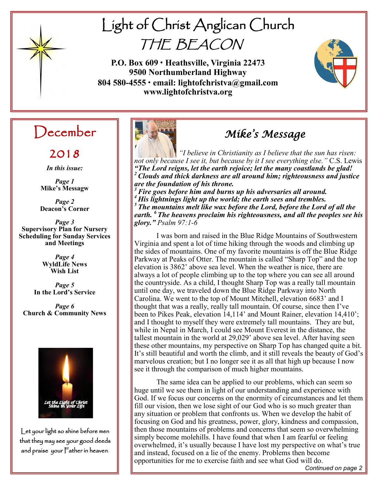

# Light of Christ Anglican Church THE BEACON

**P.O. Box 609 • Heathsville, Virginia 22473 9500 Northumberland Highway 804 580-4555 • email: lightofchristva@gmail.com www.lightofchristva.org**



## December

2018

*In this issue:*

*Page 1* **Mike's Messagw**

*Page 2* **Deacon's Corner**

*Page 3* **Supervisory Plan for Nursery Scheduling for Sunday Services and Meetings**

> *Page 4* **WyldLife News Wish List**

*Page 5* **In the Lord's Service**

*Page 6* **Church & Community News**



Let your light so shine before men that they may see your good deeds and praise your Father in heaven.



## *Mike's Message*

*"I believe in Christianity as I believe that the sun has risen: not only because I see it, but because by it I see everything else."* C.S. Lewis *"The Lord reigns, let the earth rejoice; let the many coastlands be glad! <sup>2</sup>Clouds and thick darkness are all around him; righteousness and justice are the foundation of his throne.*

*<sup>3</sup>Fire goes before him and burns up his adversaries all around. <sup>4</sup> His lightnings light up the world; the earth sees and trembles. <sup>5</sup> The mountains melt like wax before the Lord, before the Lord of all the earth. <sup>6</sup> The heavens proclaim his righteousness, and all the peoples see his glory." Psalm 97:1-6*

I was born and raised in the Blue Ridge Mountains of Southwestern Virginia and spent a lot of time hiking through the woods and climbing up the sides of mountains. One of my favorite mountains is off the Blue Ridge Parkway at Peaks of Otter. The mountain is called "Sharp Top" and the top elevation is 3862' above sea level. When the weather is nice, there are always a lot of people climbing up to the top where you can see all around the countryside. As a child, I thought Sharp Top was a really tall mountain until one day, we traveled down the Blue Ridge Parkway into North Carolina. We went to the top of Mount Mitchell, elevation 6683' and I thought that was a really, really tall mountain. Of course, since then I've been to Pikes Peak, elevation 14,114' and Mount Rainer, elevation 14,410'; and I thought to myself they were extremely tall mountains. They are but, while in Nepal in March, I could see Mount Everest in the distance, the tallest mountain in the world at 29,029' above sea level. After having seen these other mountains, my perspective on Sharp Top has changed quite a bit. It's still beautiful and worth the climb, and it still reveals the beauty of God's marvelous creation; but I no longer see it as all that high up because I now see it through the comparison of much higher mountains.

The same idea can be applied to our problems, which can seem so huge until we see them in light of our understanding and experience with God. If we focus our concerns on the enormity of circumstances and let them fill our vision, then we lose sight of our God who is so much greater than any situation or problem that confronts us. When we develop the habit of focusing on God and his greatness, power, glory, kindness and compassion, then those mountains of problems and concerns that seem so overwhelming simply become molehills. I have found that when I am fearful or feeling overwhelmed, it's usually because I have lost my perspective on what's true and instead, focused on a lie of the enemy. Problems then become opportunities for me to exercise faith and see what God will do.

*Continued on page 2*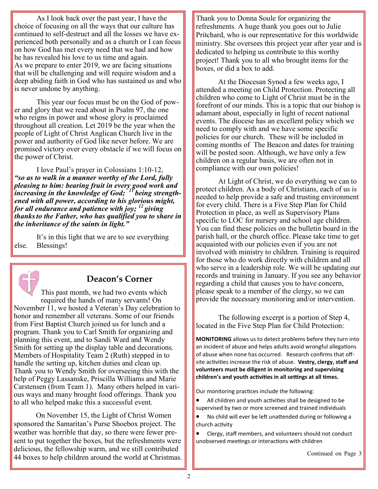As I look back over the past year, I have the choice of focusing on all the ways that our culture has continued to self-destruct and all the losses we have experienced both personally and as a church or I can focus on how God has met every need that we had and how he has revealed his love to us time and again. As we prepare to enter 2019, we are facing situations that will be challenging and will require wisdom and a deep abiding faith in God who has sustained us and who is never undone by anything.

This year our focus must be on the God of power and glory that we read about in Psalm 97, the one who reigns in power and whose glory is proclaimed throughout all creation. Let 2019 be the year when the people of Light of Christ Anglican Church live in the power and authority of God like never before. We are promised victory over every obstacle if we will focus on the power of Christ.

I love Paul's prayer in Colossians 1:10-12, *"so as to walk in a manner worthy of the Lord, fully pleasing to him: bearing fruit in every good work and increasing in the knowledge of God; <sup>11</sup> being strengthened with all power, according to his glorious might, for all endurance and patience with joy; <sup>12</sup> giving thanksto the Father, who has qualified you to share in the inheritance of the saints in light."* 

It's in this light that we are to see everything else. Blessings!



#### **Deacon's Corner**

This past month, we had two events which required the hands of many servants! On November 11, we hosted a Veteran's Day celebration to honor and remember all veterans. Some of our friends from First Baptist Church joined us for lunch and a program. Thank you to Carl Smith for organizing and planning this event, and to Sandi Ward and Wendy Smith for setting up the display table and decorations. Members of Hospitality Team 2 (Ruth) stepped in to handle the setting up, kitchen duties and clean up. Thank you to Wendy Smith for overseeing this with the help of Peggy Lassanske, Priscilla Williams and Marie Carstensen (from Team 1). Many others helped in various ways and many brought food offerings. Thank you to all who helped make this a successful event.

On November 15, the Light of Christ Women sponsored the Samaritan's Purse Shoebox project. The weather was horrible that day, so there were fewer present to put together the boxes, but the refreshments were delicious, the fellowship warm, and we still contributed 44 boxes to help children around the world at Christmas.

Thank you to Donna Soule for organizing the refreshments. A huge thank you goes out to Julie Pritchard, who is our representative for this worldwide ministry. She oversees this project year after year and is dedicated to helping us contribute to this worthy project! Thank you to all who brought items for the boxes, or did a box to add.

At the Diocesan Synod a few weeks ago, I attended a meeting on Child Protection. Protecting all children who come to Light of Christ must be in the forefront of our minds. This is a topic that our bishop is adamant about, especially in light of recent national events. The diocese has an excellent policy which we need to comply with and we have some specific policies for our church. These will be included in coming months of The Beacon and dates for training will be posted soon. Although, we have only a few children on a regular basis, we are often not in compliance with our own policies!

At Light of Christ, we do everything we can to protect children. As a body of Christians, each of us is needed to help provide a safe and trusting environment for every child. There is a Five Step Plan for Child Protection in place, as well as Supervisory Plans specific to LOC for nursery and school age children. You can find these policies on the bulletin board in the parish hall, or the church office. Please take time to get acquainted with our policies even if you are not involved with ministry to children. Training is required for those who do work directly with children and all who serve in a leadership role. We will be updating our records and training in January. If you see any behavior regarding a child that causes you to have concern, please speak to a member of the clergy, so we can provide the necessary monitoring and/or intervention.

The following excerpt is a portion of Step 4, located in the Five Step Plan for Child Protection:

**MONITORING** allows us to detect problems before they turn into an incident of abuse and helps adults avoid wrongful allegations of abuse when none has occurred. Research confirms that offsite activities increase the risk of abuse. **Vestry, clergy, staff and volunteers must be diligent in monitoring and supervising children's and youth activities in all settings at all times.**

Our monitoring practices include the following:

- All children and youth activities shall be designed to be supervised by two or more screened and trained individuals
- No child will ever be left unattended during or following a church activity
- Clergy, staff members, and volunteers should not conduct unobserved meetings or interactions with children

Continued on Page 3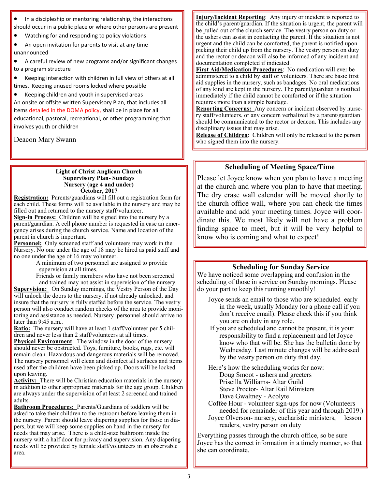In a discipleship or mentoring relationship, the interactions should occur in a public place or where other persons are present

• Watching for and responding to policy violations

• An open invitation for parents to visit at any time unannounced

• A careful review of new programs and/or significant changes to a program structure

Keeping interaction with children in full view of others at all times. Keeping unused rooms locked where possible

• Keeping children and youth in supervised areas An onsite or offsite written Supervisory Plan, that includes all items detailed in the DOMA policy, shall be in place for all educational, pastoral, recreational, or other programming that involves youth or children

Deacon Mary Swann

#### **Light of Christ Anglican Church Supervisory Plan- Sundays Nursery (age 4 and under) October, 2017**

**Registration:** Parents/guardians will fill out a registration form for each child. These forms will be available in the nursery and may be filled out and returned to the nursery staff/volunteer.

**Sign-in Process:** Children will be signed into the nursery by a parent/guardian. A cell phone number is requested in case an emergency arises during the church service. Name and location of the parent in church is important.

**Personnel:** Only screened staff and volunteers may work in the Nursery. No one under the age of 18 may be hired as paid staff and no one under the age of 16 may volunteer.

A minimum of two personnel are assigned to provide supervision at all times.

Friends or family members who have not been screened and trained may not assist in supervision of the nursery.

**Supervision:** On Sunday mornings, the Vestry Person of the Day will unlock the doors to the nursery, if not already unlocked, and insure that the nursery is fully staffed before the service. The vestry person will also conduct random checks of the area to provide monitoring and assistance as needed. Nursery personnel should arrive no later than 9:45 a.m..

**Ratio:** The nursery will have at least 1 staff/volunteer per 5 children and never less than 2 staff/volunteers at all times.

**Physical Environment**: The window in the door of the nursery should never be obstructed. Toys, furniture, books, rugs, etc. will remain clean. Hazardous and dangerous materials will be removed. The nursery personnel will clean and disinfect all surfaces and items used after the children have been picked up. Doors will be locked upon leaving.

**Activity:** There will be Christian education materials in the nursery in addition to other appropriate materials for the age group. Children are always under the supervision of at least 2 screened and trained adults.

**Bathroom Procedures:** Parents/Guardians of toddlers will be asked to take their children to the restroom before leaving them in the nursery. Parent should leave diapering supplies for those in diapers, but we will keep some supplies on hand in the nursery for needs that may arise. There is a child-size bathroom inside the nursery with a half door for privacy and supervision. Any diapering needs will be provided by female staff/volunteers in an observable area.

**Injury/Incident Reporting**: Any injury or incident is reported to the child's parent/guardian. If the situation is urgent, the parent will be pulled out of the church service. The vestry person on duty or the ushers can assist in contacting the parent. If the situation is not urgent and the child can be comforted, the parent is notified upon picking their child up from the nursery. The vestry person on duty and the rector or deacon will also be informed of any incident and documentation completed if indicated.

**First Aid/Medication Procedures**: No medication will ever be administered to a child by staff or volunteers. There are basic first aid supplies in the nursery, such as bandages. No oral medications of any kind are kept in the nursery. The parent/guardian is notified immediately if the child cannot be comforted or if the situation requires more than a simple bandage.

**Reporting Concerns:** Any concern or incident observed by nursery staff/volunteers, or any concern verbalized by a parent/guardian should be communicated to the rector or deacon. This includes any disciplinary issues that may arise.

**Release of Children**: Children will only be released to the person who signed them into the nursery.

#### **Scheduling of Meeting Space/Time**

Please let Joyce know when you plan to have a meeting at the church and where you plan to have that meeting. The dry erase wall calendar will be moved shortly to the church office wall, where you can check the times available and add your meeting times. Joyce will coordinate this. We most likely will not have a problem finding space to meet, but it will be very helpful to know who is coming and what to expect!

#### **Scheduling for Sunday Service**

We have noticed some overlapping and confusion in the scheduling of those in service on Sunday mornings. Please do your part to keep this running smoothly!

- Joyce sends an email to those who are scheduled early in the week, usually Monday (or a phone call if you don't receive email). Please check this if you think you are on duty in any role.
- If you are scheduled and cannot be present, it is your responsibility to find a replacement and let Joyce know who that will be. She has the bulletin done by Wednesday. Last minute changes will be addressed by the vestry person on duty that day.

Here's how the scheduling works for now: Doug Smoot - ushers and greeters Priscilla Williams- Altar Guild Steve Proctor- Altar Rail Ministers Dave Gwaltney - Acolyte

Coffee Hour - volunteer sign-ups for now (Volunteers needed for remainder of this year and through 2019.)

Joyce Olverson- nursery, eucharistic ministers, lesson readers, vestry person on duty

Everything passes through the church office, so be sure Joyce has the correct information in a timely manner, so that she can coordinate.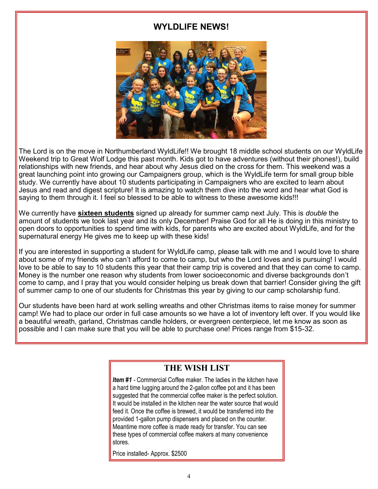#### **WYLDLIFE NEWS!**



The Lord is on the move in Northumberland WyldLife!! We brought 18 middle school students on our WyldLife Weekend trip to Great Wolf Lodge this past month. Kids got to have adventures (without their phones!), build relationships with new friends, and hear about why Jesus died on the cross for them. This weekend was a great launching point into growing our Campaigners group, which is the WyldLife term for small group bible study. We currently have about 10 students participating in Campaigners who are excited to learn about Jesus and read and digest scripture! It is amazing to watch them dive into the word and hear what God is saying to them through it. I feel so blessed to be able to witness to these awesome kids!!!

We currently have **sixteen students** signed up already for summer camp next July. This is *double* the amount of students we took last year and its only December! Praise God for all He is doing in this ministry to open doors to opportunities to spend time with kids, for parents who are excited about WyldLife, and for the supernatural energy He gives me to keep up with these kids!

If you are interested in supporting a student for WyldLife camp, please talk with me and I would love to share about some of my friends who can't afford to come to camp, but who the Lord loves and is pursuing! I would love to be able to say to 10 students this year that their camp trip is covered and that they can come to camp. Money is the number one reason why students from lower socioeconomic and diverse backgrounds don't come to camp, and I pray that you would consider helping us break down that barrier! Consider giving the gift of summer camp to one of our students for Christmas this year by giving to our camp scholarship fund.

Our students have been hard at work selling wreaths and other Christmas items to raise money for summer camp! We had to place our order in full case amounts so we have a lot of inventory left over. If you would like a beautiful wreath, garland, Christmas candle holders, or evergreen centerpiece, let me know as soon as possible and I can make sure that you will be able to purchase one! Prices range from \$15-32.

#### **THE WISH LIST**

*Item #1 -* Commercial Coffee maker. The ladies in the kitchen have a hard time lugging around the 2-gallon coffee pot and it has been suggested that the commercial coffee maker is the perfect solution. It would be installed in the kitchen near the water source that would feed it. Once the coffee is brewed, it would be transferred into the provided 1-gallon pump dispensers and placed on the counter. Meantime more coffee is made ready for transfer. You can see these types of commercial coffee makers at many convenience stores.

Price installed- Approx. \$2500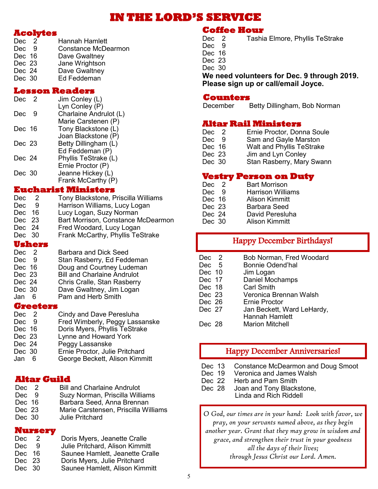### **IN THE LORD'S SERVICE**

#### **Acolytes**

| Dec 2  | Hannah Hamlett             |
|--------|----------------------------|
| Dec 9  | <b>Constance McDearmon</b> |
| Dec 16 | Dave Gwaltney              |
| Dec 23 | Jane Wrightson             |
| Dec 24 | Dave Gwaltney              |
| Dec 30 | Ed Feddeman                |
|        |                            |

#### **Lesson Readers**

| Dec    | - 2 | Jim Conley (L)         |
|--------|-----|------------------------|
|        |     | Lyn Conley (P)         |
| Dec    | g   | Charlaine Andrulot (L) |
|        |     | Marie Carstenen (P)    |
| Dec 16 |     | Tony Blackstone (L)    |
|        |     | Joan Blackstone (P)    |
| Dec 23 |     | Betty Dillingham (L)   |
|        |     | Ed Feddeman (P)        |
| Dec 24 |     | Phyllis TeStrake (L)   |
|        |     | Ernie Proctor (P)      |
| Dec 30 |     | Jeanne Hickey (L)      |
|        |     | Frank McCarthy (P)     |

#### **Eucharist Ministers**

| <b>Dec</b> | -2      | Tony Blackstone, Priscilla Williams |
|------------|---------|-------------------------------------|
| <b>Dec</b> | -9      | Harrison Williams, Lucy Logan       |
| Dec        | 16      | Lucy Logan, Suzy Norman             |
| Dec 23     |         | Bart Morrison, Constance McDearmon  |
| Dec 24     |         | Fred Woodard, Lucy Logan            |
| Dec 30     |         | Frank McCarthy, Phyllis TeStrake    |
|            | llehove |                                     |

#### **Ushers**

| Dec 2  | <b>Barbara and Dick Seed</b>       |
|--------|------------------------------------|
| Dec 9  | Stan Rasberry, Ed Feddeman         |
| Dec 16 | Doug and Courtney Ludeman          |
| Dec 23 | <b>Bill and Charlaine Andrulot</b> |
| Dec 24 | Chris Cralle, Stan Rasberry        |
| Dec 30 | Dave Gwaltney, Jim Logan           |
| Jan 6  | Pam and Herb Smith                 |
|        |                                    |

#### **Greeters**

| Dec 2  |   | Cindy and Dave Peresluha       |
|--------|---|--------------------------------|
| Dec 9  |   | Fred Wimberly, Peggy Lassanske |
| Dec 16 |   | Doris Myers, Phyllis TeStrake  |
| Dec 23 |   | Lynne and Howard York          |
| Dec 24 |   | Peggy Lassanske                |
| Dec 30 |   | Ernie Proctor, Julie Pritchard |
| Jan    | 6 | George Beckett, Alison Kimmitt |
|        |   |                                |

#### **Altar Guild**

| Dec 2  | <b>Bill and Charlaine Andrulot</b>   |
|--------|--------------------------------------|
| Dec 9  | Suzy Norman, Priscilla Williams      |
| Dec 16 | Barbara Seed, Anna Brennan           |
| Dec 23 | Marie Carstensen, Priscilla Williams |
| Dec 30 | <b>Julie Pritchard</b>               |

#### **Nursery**

| Dec .  | $\sim$ 2 | Doris Myers, Jeanette Cralle    |
|--------|----------|---------------------------------|
| Dec.   | -9       | Julie Pritchard, Alison Kimmitt |
| Dec 16 |          | Saunee Hamlett, Jeanette Cralle |
| Dec 23 |          | Doris Myers, Julie Pritchard    |
| Dec 30 |          | Saunee Hamlett, Alison Kimmitt  |

## **Coffee Hour**<br>Dec 2 Tashia

Tashia Elmore, Phyllis TeStrake

- Dec 9
- Dec 16
- Dec 23

Dec 30

**We need volunteers for Dec. 9 through 2019. Please sign up or call/email Joyce.**

## **Counters**<br>December

Betty Dillingham, Bob Norman

#### **Altar Rail Ministers**

- Dec 2 Ernie Proctor, Donna Soule<br>Dec 9 Sam and Gayle Marston
- Dec 9 Sam and Gayle Marston<br>Dec 16 Walt and Phyllis TeStrake
- Dec 16 Walt and Phyllis TeStrake<br>Dec 23 Jim and Lyn Conley
- Jim and Lyn Conley
- Dec 30 Stan Rasberry, Mary Swann

#### **Vestry Person on Duty**

| Dec 2  | Bart Morrison            |
|--------|--------------------------|
| Dec 9  | <b>Harrison Williams</b> |
| Dec 16 | Alison Kimmitt           |
| Dec 23 | Barbara Seed             |
| Dec 24 | David Peresluha          |
| Dec 30 | Alison Kimmitt           |
|        |                          |

#### Happy December Birthdays!

| Dec 2   | Bob Norman, Fred Woodard   |
|---------|----------------------------|
| Dec 5   | <b>Bonnie Odend'hal</b>    |
| Dec 10  | Jim Logan                  |
| Dec 17  | Daniel Mochamps            |
| Dec 18  | <b>Carl Smith</b>          |
| Dec 23  | Veronica Brennan Walsh     |
| Dec 26  | Ernie Proctor              |
| Dec 27  | Jan Beckett, Ward LeHardy, |
|         | <b>Hannah Hamlett</b>      |
| Dec. 28 | <b>Marion Mitchell</b>     |

#### Happy December Anniversaries!

- Dec 13 Constance McDearmon and Doug Smoot
- Dec 19 Veronica and James Walsh<br>Dec 22 Herb and Pam Smith
- Dec 22 Herb and Pam Smith<br>Dec 28 Joan and Tony Black
- Joan and Tony Blackstone, Linda and Rich Riddell

*O God, our times are in your hand: Look with favor, we pray, on your servants named above, as they begin another year. Grant that they may grow in wisdom and grace, and strengthen their trust in your goodness all the days of their lives; through Jesus Christ our Lord. Amen.*